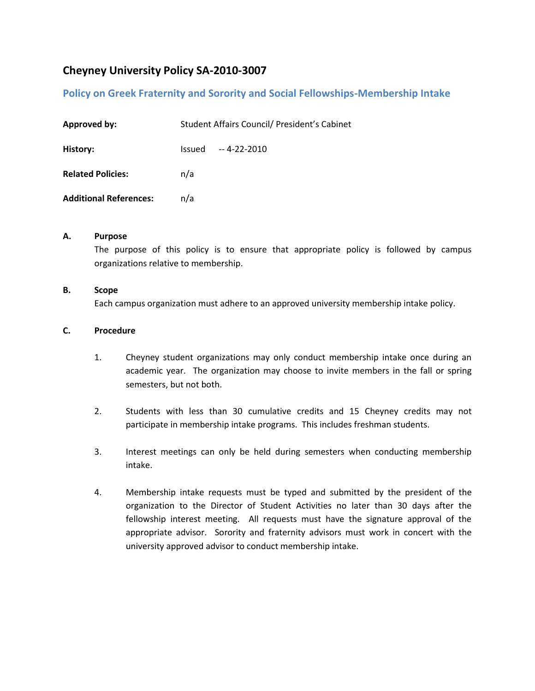# **Cheyney University Policy SA-2010-3007**

## **Policy on Greek Fraternity and Sorority and Social Fellowships-Membership Intake**

| <b>Approved by:</b>           | Student Affairs Council/ President's Cabinet |                      |
|-------------------------------|----------------------------------------------|----------------------|
| History:                      |                                              | $Is sued -4-22-2010$ |
| <b>Related Policies:</b>      | n/a                                          |                      |
| <b>Additional References:</b> | n/a                                          |                      |

#### **A. Purpose**

The purpose of this policy is to ensure that appropriate policy is followed by campus organizations relative to membership.

#### **B. Scope**

Each campus organization must adhere to an approved university membership intake policy.

#### **C. Procedure**

- 1. Cheyney student organizations may only conduct membership intake once during an academic year. The organization may choose to invite members in the fall or spring semesters, but not both.
- 2. Students with less than 30 cumulative credits and 15 Cheyney credits may not participate in membership intake programs. This includes freshman students.
- 3. Interest meetings can only be held during semesters when conducting membership intake.
- 4. Membership intake requests must be typed and submitted by the president of the organization to the Director of Student Activities no later than 30 days after the fellowship interest meeting. All requests must have the signature approval of the appropriate advisor. Sorority and fraternity advisors must work in concert with the university approved advisor to conduct membership intake.